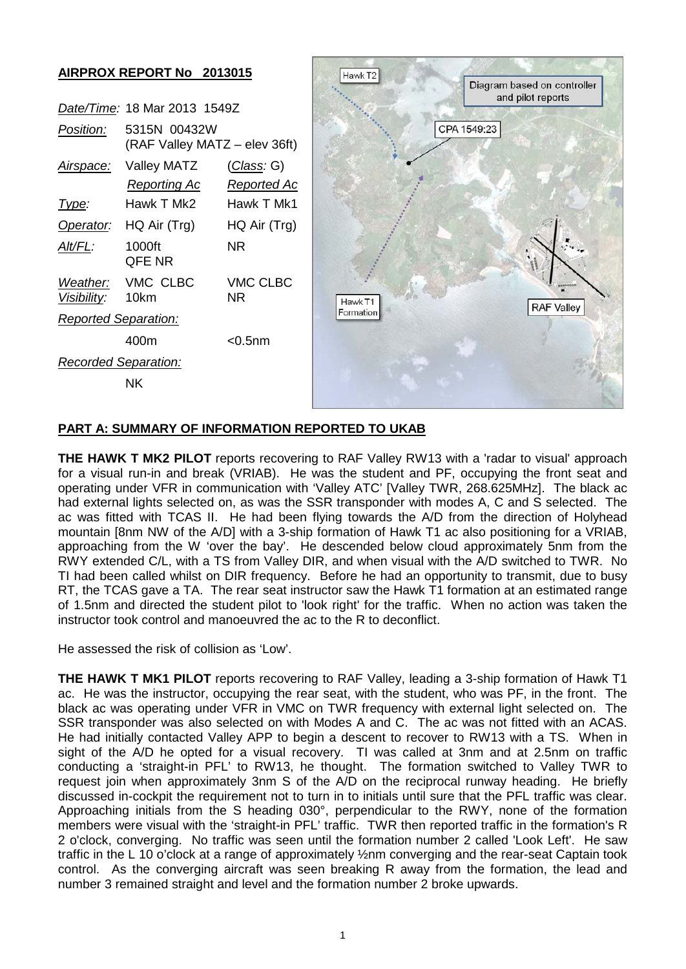### **AIRPROX REPORT No 2013015**

|                             | Date/Time: 18 Mar 2013 1549Z                  |                                          |  |  |
|-----------------------------|-----------------------------------------------|------------------------------------------|--|--|
| Position:                   | 5315N 00432W<br>(RAF Valley MATZ – elev 36ft) |                                          |  |  |
| Airspace:                   | Valley MATZ<br><u>Reporting Ac</u>            | <u>(Class</u> : G)<br><u>Reported Ac</u> |  |  |
| lype:                       | Hawk T Mk2                                    | Hawk T Mk1                               |  |  |
| Operator:                   | HQ Air (Trg)                                  | HQ Air (Trg)                             |  |  |
| AIt/FL:                     | 1000ft<br><b>QFE NR</b>                       | ΝR                                       |  |  |
| Visibility: 10km            | Weather: VMC CLBC                             | VMC CLBC<br>ΝR                           |  |  |
| <b>Reported Separation:</b> |                                               |                                          |  |  |
|                             | 400m                                          | $<$ 0.5 nm                               |  |  |
| <b>Recorded Separation:</b> |                                               |                                          |  |  |
| ΝK                          |                                               |                                          |  |  |



#### **PART A: SUMMARY OF INFORMATION REPORTED TO UKAB**

**THE HAWK T MK2 PILOT** reports recovering to RAF Valley RW13 with a 'radar to visual' approach for a visual run-in and break (VRIAB). He was the student and PF, occupying the front seat and operating under VFR in communication with 'Valley ATC' [Valley TWR, 268.625MHz]. The black ac had external lights selected on, as was the SSR transponder with modes A, C and S selected. The ac was fitted with TCAS II. He had been flying towards the A/D from the direction of Holyhead mountain [8nm NW of the A/D] with a 3-ship formation of Hawk T1 ac also positioning for a VRIAB, approaching from the W 'over the bay'. He descended below cloud approximately 5nm from the RWY extended C/L, with a TS from Valley DIR, and when visual with the A/D switched to TWR. No TI had been called whilst on DIR frequency. Before he had an opportunity to transmit, due to busy RT, the TCAS gave a TA. The rear seat instructor saw the Hawk T1 formation at an estimated range of 1.5nm and directed the student pilot to 'look right' for the traffic. When no action was taken the instructor took control and manoeuvred the ac to the R to deconflict.

He assessed the risk of collision as 'Low'.

**THE HAWK T MK1 PILOT** reports recovering to RAF Valley, leading a 3-ship formation of Hawk T1 ac. He was the instructor, occupying the rear seat, with the student, who was PF, in the front. The black ac was operating under VFR in VMC on TWR frequency with external light selected on. The SSR transponder was also selected on with Modes A and C. The ac was not fitted with an ACAS. He had initially contacted Valley APP to begin a descent to recover to RW13 with a TS. When in sight of the A/D he opted for a visual recovery. TI was called at 3nm and at 2.5nm on traffic conducting a 'straight-in PFL' to RW13, he thought. The formation switched to Valley TWR to request join when approximately 3nm S of the A/D on the reciprocal runway heading. He briefly discussed in-cockpit the requirement not to turn in to initials until sure that the PFL traffic was clear. Approaching initials from the S heading 030°, perpendicular to the RWY, none of the formation members were visual with the 'straight-in PFL' traffic. TWR then reported traffic in the formation's R 2 o'clock, converging. No traffic was seen until the formation number 2 called 'Look Left'. He saw traffic in the L 10 o'clock at a range of approximately ½nm converging and the rear-seat Captain took control. As the converging aircraft was seen breaking R away from the formation, the lead and number 3 remained straight and level and the formation number 2 broke upwards.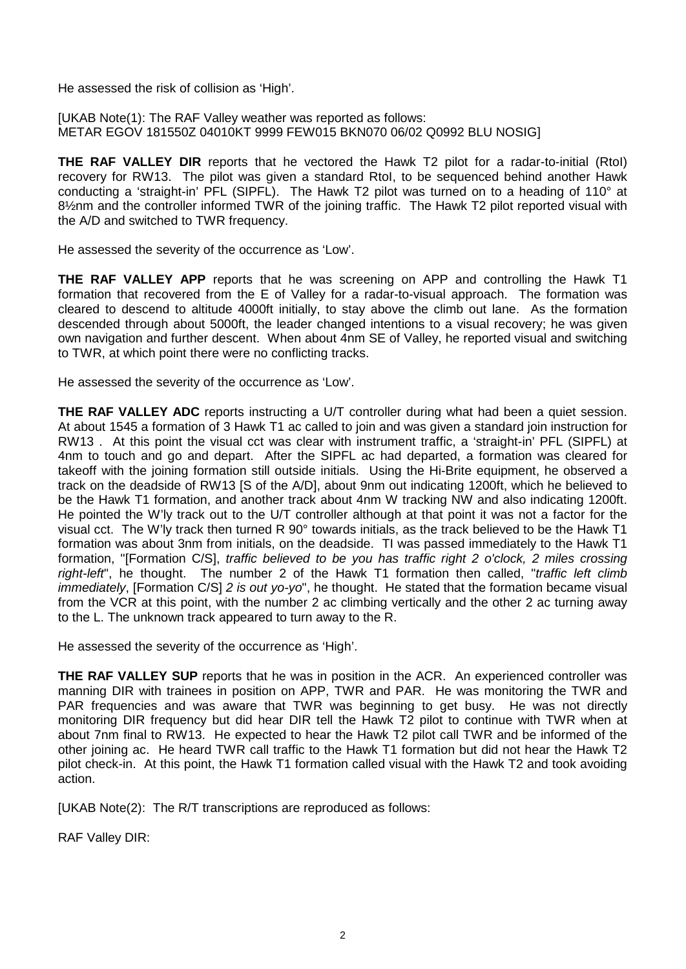He assessed the risk of collision as 'High'.

[UKAB Note(1): The RAF Valley weather was reported as follows: METAR EGOV 181550Z 04010KT 9999 FEW015 BKN070 06/02 Q0992 BLU NOSIG]

**THE RAF VALLEY DIR** reports that he vectored the Hawk T2 pilot for a radar-to-initial (RtoI) recovery for RW13. The pilot was given a standard RtoI, to be sequenced behind another Hawk conducting a 'straight-in' PFL (SIPFL). The Hawk T2 pilot was turned on to a heading of 110° at 81/2nm and the controller informed TWR of the joining traffic. The Hawk T2 pilot reported visual with the A/D and switched to TWR frequency.

He assessed the severity of the occurrence as 'Low'.

**THE RAF VALLEY APP** reports that he was screening on APP and controlling the Hawk T1 formation that recovered from the E of Valley for a radar-to-visual approach. The formation was cleared to descend to altitude 4000ft initially, to stay above the climb out lane. As the formation descended through about 5000ft, the leader changed intentions to a visual recovery; he was given own navigation and further descent. When about 4nm SE of Valley, he reported visual and switching to TWR, at which point there were no conflicting tracks.

He assessed the severity of the occurrence as 'Low'.

**THE RAF VALLEY ADC** reports instructing a U/T controller during what had been a quiet session. At about 1545 a formation of 3 Hawk T1 ac called to join and was given a standard join instruction for RW13 . At this point the visual cct was clear with instrument traffic, a 'straight-in' PFL (SIPFL) at 4nm to touch and go and depart. After the SIPFL ac had departed, a formation was cleared for takeoff with the joining formation still outside initials. Using the Hi-Brite equipment, he observed a track on the deadside of RW13 [S of the A/D], about 9nm out indicating 1200ft, which he believed to be the Hawk T1 formation, and another track about 4nm W tracking NW and also indicating 1200ft. He pointed the W'ly track out to the U/T controller although at that point it was not a factor for the visual cct. The W'ly track then turned R 90° towards initials, as the track believed to be the Hawk T1 formation was about 3nm from initials, on the deadside. TI was passed immediately to the Hawk T1 formation, "[Formation C/S], *traffic believed to be you has traffic right 2 o'clock, 2 miles crossing right-left*", he thought. The number 2 of the Hawk T1 formation then called, "*traffic left climb immediately*, [Formation C/S] *2 is out yo-yo*", he thought. He stated that the formation became visual from the VCR at this point, with the number 2 ac climbing vertically and the other 2 ac turning away to the L. The unknown track appeared to turn away to the R.

He assessed the severity of the occurrence as 'High'.

**THE RAF VALLEY SUP** reports that he was in position in the ACR. An experienced controller was manning DIR with trainees in position on APP, TWR and PAR. He was monitoring the TWR and PAR frequencies and was aware that TWR was beginning to get busy. He was not directly monitoring DIR frequency but did hear DIR tell the Hawk T2 pilot to continue with TWR when at about 7nm final to RW13. He expected to hear the Hawk T2 pilot call TWR and be informed of the other joining ac. He heard TWR call traffic to the Hawk T1 formation but did not hear the Hawk T2 pilot check-in. At this point, the Hawk T1 formation called visual with the Hawk T2 and took avoiding action.

[UKAB Note(2): The R/T transcriptions are reproduced as follows:

RAF Valley DIR: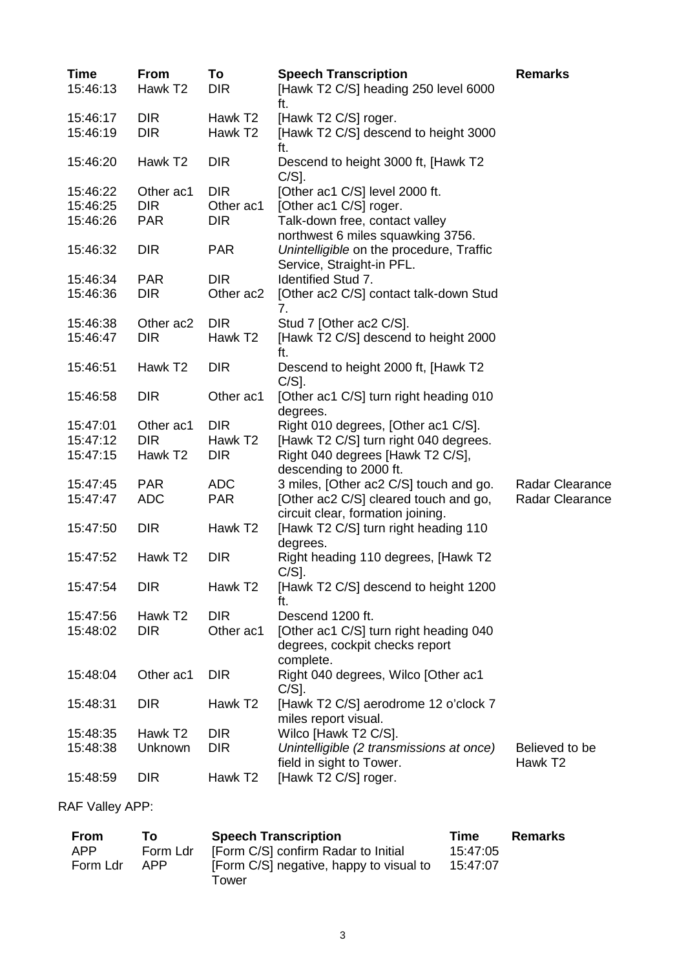| <b>Time</b> | <b>From</b>         | To                  | <b>Speech Transcription</b>                                                           | <b>Remarks</b>                        |
|-------------|---------------------|---------------------|---------------------------------------------------------------------------------------|---------------------------------------|
| 15:46:13    | Hawk T <sub>2</sub> | <b>DIR</b>          | [Hawk T2 C/S] heading 250 level 6000<br>ft.                                           |                                       |
| 15:46:17    | <b>DIR</b>          | Hawk T <sub>2</sub> | [Hawk T2 C/S] roger.                                                                  |                                       |
| 15:46:19    | <b>DIR</b>          | Hawk T <sub>2</sub> | [Hawk T2 C/S] descend to height 3000<br>ft.                                           |                                       |
| 15:46:20    | Hawk T <sub>2</sub> | <b>DIR</b>          | Descend to height 3000 ft, [Hawk T2<br>$C/S$ ].                                       |                                       |
| 15:46:22    | Other ac1           | <b>DIR</b>          | [Other ac1 C/S] level 2000 ft.                                                        |                                       |
| 15:46:25    | <b>DIR</b>          | Other ac1           | [Other ac1 C/S] roger.                                                                |                                       |
| 15:46:26    | <b>PAR</b>          | <b>DIR</b>          | Talk-down free, contact valley<br>northwest 6 miles squawking 3756.                   |                                       |
| 15:46:32    | <b>DIR</b>          | <b>PAR</b>          | Unintelligible on the procedure, Traffic<br>Service, Straight-in PFL.                 |                                       |
| 15:46:34    | <b>PAR</b>          | <b>DIR</b>          | Identified Stud 7.                                                                    |                                       |
| 15:46:36    | <b>DIR</b>          | Other ac2           | [Other ac2 C/S] contact talk-down Stud<br>7.                                          |                                       |
| 15:46:38    | Other ac2           | <b>DIR</b>          | Stud 7 [Other ac2 C/S].                                                               |                                       |
| 15:46:47    | <b>DIR</b>          | Hawk T <sub>2</sub> | [Hawk T2 C/S] descend to height 2000<br>ft.                                           |                                       |
| 15:46:51    | Hawk T <sub>2</sub> | <b>DIR</b>          | Descend to height 2000 ft, [Hawk T2<br>$C/S$ ].                                       |                                       |
| 15:46:58    | <b>DIR</b>          | Other ac1           | [Other ac1 C/S] turn right heading 010<br>degrees.                                    |                                       |
| 15:47:01    | Other ac1           | <b>DIR</b>          | Right 010 degrees, [Other ac1 C/S].                                                   |                                       |
| 15:47:12    | <b>DIR</b>          | Hawk T <sub>2</sub> | [Hawk T2 C/S] turn right 040 degrees.                                                 |                                       |
| 15:47:15    | Hawk T <sub>2</sub> | <b>DIR</b>          | Right 040 degrees [Hawk T2 C/S],<br>descending to 2000 ft.                            |                                       |
| 15:47:45    | <b>PAR</b>          | <b>ADC</b>          | 3 miles, [Other ac2 C/S] touch and go.                                                | Radar Clearance                       |
| 15:47:47    | <b>ADC</b>          | <b>PAR</b>          | [Other ac2 C/S] cleared touch and go,<br>circuit clear, formation joining.            | Radar Clearance                       |
| 15:47:50    | <b>DIR</b>          | Hawk T <sub>2</sub> | [Hawk T2 C/S] turn right heading 110<br>degrees.                                      |                                       |
| 15:47:52    | Hawk T <sub>2</sub> | <b>DIR</b>          | Right heading 110 degrees, [Hawk T2<br>$C/S$ ].                                       |                                       |
| 15:47:54    | <b>DIR</b>          | Hawk T <sub>2</sub> | [Hawk T2 C/S] descend to height 1200<br>ft.                                           |                                       |
| 15:47:56    | Hawk T <sub>2</sub> | <b>DIR</b>          | Descend 1200 ft.                                                                      |                                       |
| 15:48:02    | <b>DIR</b>          | Other ac1           | [Other ac1 C/S] turn right heading 040<br>degrees, cockpit checks report<br>complete. |                                       |
| 15:48:04    | Other ac1           | <b>DIR</b>          | Right 040 degrees, Wilco [Other ac1<br>$C/S$ ].                                       |                                       |
| 15:48:31    | <b>DIR</b>          | Hawk T <sub>2</sub> | [Hawk T2 C/S] aerodrome 12 o'clock 7<br>miles report visual.                          |                                       |
| 15:48:35    | Hawk T <sub>2</sub> | <b>DIR</b>          | Wilco [Hawk T2 C/S].                                                                  |                                       |
| 15:48:38    | Unknown             | <b>DIR</b>          | Unintelligible (2 transmissions at once)<br>field in sight to Tower.                  | Believed to be<br>Hawk T <sub>2</sub> |
| 15:48:59    | <b>DIR</b>          | Hawk T <sub>2</sub> | [Hawk T2 C/S] roger.                                                                  |                                       |

RAF Valley APP:

| To.      | <b>Speech Transcription</b> | Time                                                                                    | Remarks |
|----------|-----------------------------|-----------------------------------------------------------------------------------------|---------|
| Form Ldr |                             | 15:47:05                                                                                |         |
| APP      |                             | 15:47:07                                                                                |         |
|          |                             | [Form C/S] confirm Radar to Initial<br>[Form C/S] negative, happy to visual to<br>Tower |         |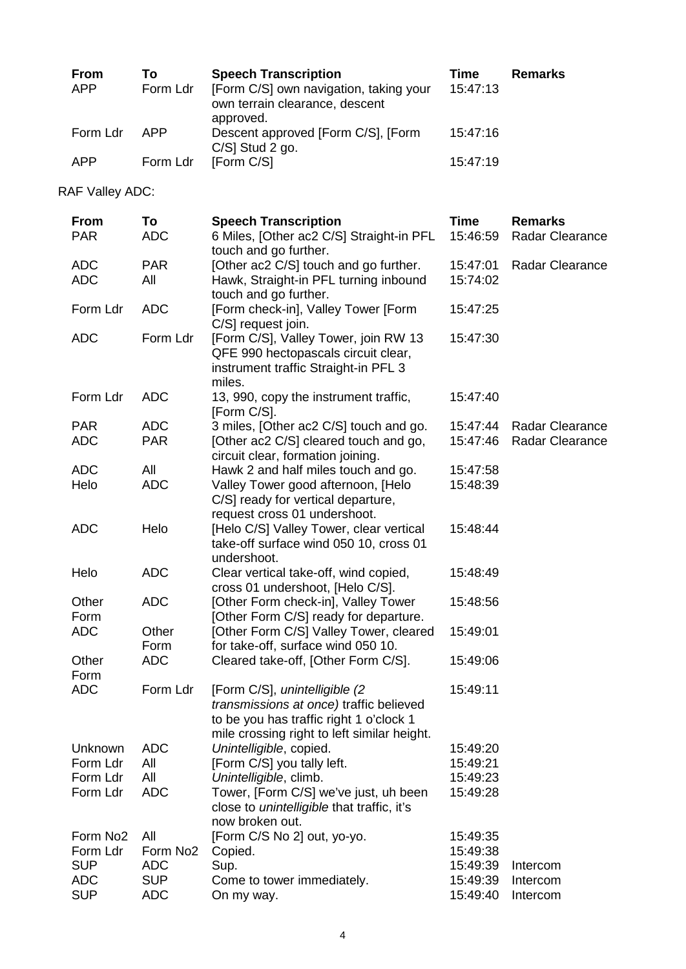| From<br><b>APP</b> | Τo<br>Form Ldr | <b>Speech Transcription</b><br>[Form C/S] own navigation, taking your<br>own terrain clearance, descent<br>approved. | Time<br>15:47:13 | <b>Remarks</b> |
|--------------------|----------------|----------------------------------------------------------------------------------------------------------------------|------------------|----------------|
| Form Ldr           | APP            | Descent approved [Form C/S], [Form<br>$C/S$ ] Stud 2 go.                                                             | 15:47:16         |                |
| <b>APP</b>         | Form Ldr       | [Form C/S]                                                                                                           | 15:47:19         |                |

RAF Valley ADC:

| <b>From</b>          | To                   | <b>Speech Transcription</b>                                                                                                                                         | <b>Time</b> | <b>Remarks</b>         |
|----------------------|----------------------|---------------------------------------------------------------------------------------------------------------------------------------------------------------------|-------------|------------------------|
| <b>PAR</b>           | <b>ADC</b>           | 6 Miles, [Other ac2 C/S] Straight-in PFL<br>touch and go further.                                                                                                   | 15:46:59    | Radar Clearance        |
| <b>ADC</b>           | <b>PAR</b>           | [Other ac2 C/S] touch and go further.                                                                                                                               | 15:47:01    | <b>Radar Clearance</b> |
| <b>ADC</b>           | All                  | Hawk, Straight-in PFL turning inbound<br>touch and go further.                                                                                                      | 15:74:02    |                        |
| Form Ldr             | <b>ADC</b>           | [Form check-in], Valley Tower [Form<br>C/S] request join.                                                                                                           | 15:47:25    |                        |
| <b>ADC</b>           | Form Ldr             | [Form C/S], Valley Tower, join RW 13<br>QFE 990 hectopascals circuit clear,<br>instrument traffic Straight-in PFL 3<br>miles.                                       | 15:47:30    |                        |
| Form Ldr             | <b>ADC</b>           | 13, 990, copy the instrument traffic,<br>[Form C/S].                                                                                                                | 15:47:40    |                        |
| <b>PAR</b>           | <b>ADC</b>           | 3 miles, [Other ac2 C/S] touch and go.                                                                                                                              | 15:47:44    | Radar Clearance        |
| <b>ADC</b>           | <b>PAR</b>           | [Other ac2 C/S] cleared touch and go,<br>circuit clear, formation joining.                                                                                          | 15:47:46    | <b>Radar Clearance</b> |
| <b>ADC</b>           | All                  | Hawk 2 and half miles touch and go.                                                                                                                                 | 15:47:58    |                        |
| Helo                 | <b>ADC</b>           | Valley Tower good afternoon, [Helo<br>C/S] ready for vertical departure,<br>request cross 01 undershoot.                                                            | 15:48:39    |                        |
| <b>ADC</b>           | Helo                 | [Helo C/S] Valley Tower, clear vertical<br>take-off surface wind 050 10, cross 01<br>undershoot.                                                                    | 15:48:44    |                        |
| Helo                 | <b>ADC</b>           | Clear vertical take-off, wind copied,<br>cross 01 undershoot, [Helo C/S].                                                                                           | 15:48:49    |                        |
| Other<br>Form        | <b>ADC</b>           | [Other Form check-in], Valley Tower<br>[Other Form C/S] ready for departure.                                                                                        | 15:48:56    |                        |
| <b>ADC</b>           | Other<br>Form        | [Other Form C/S] Valley Tower, cleared<br>for take-off, surface wind 050 10.                                                                                        | 15:49:01    |                        |
| Other<br>Form        | <b>ADC</b>           | Cleared take-off, [Other Form C/S].                                                                                                                                 | 15:49:06    |                        |
| <b>ADC</b>           | Form Ldr             | [Form C/S], unintelligible (2)<br>transmissions at once) traffic believed<br>to be you has traffic right 1 o'clock 1<br>mile crossing right to left similar height. | 15:49:11    |                        |
| Unknown              | <b>ADC</b>           | Unintelligible, copied.                                                                                                                                             | 15:49:20    |                        |
| Form Ldr             | All                  | [Form C/S] you tally left.                                                                                                                                          | 15:49:21    |                        |
| Form Ldr             | All                  | Unintelligible, climb.                                                                                                                                              | 15:49:23    |                        |
| Form Ldr             | <b>ADC</b>           | Tower, [Form C/S] we've just, uh been<br>close to unintelligible that traffic, it's<br>now broken out.                                                              | 15:49:28    |                        |
| Form No <sub>2</sub> | All                  | [Form C/S No 2] out, yo-yo.                                                                                                                                         | 15:49:35    |                        |
| Form Ldr             | Form No <sub>2</sub> | Copied.                                                                                                                                                             | 15:49:38    |                        |
| <b>SUP</b>           | <b>ADC</b>           | Sup.                                                                                                                                                                | 15:49:39    | Intercom               |
| <b>ADC</b>           | <b>SUP</b>           | Come to tower immediately.                                                                                                                                          | 15:49:39    | Intercom               |
| <b>SUP</b>           | <b>ADC</b>           | On my way.                                                                                                                                                          | 15:49:40    | Intercom               |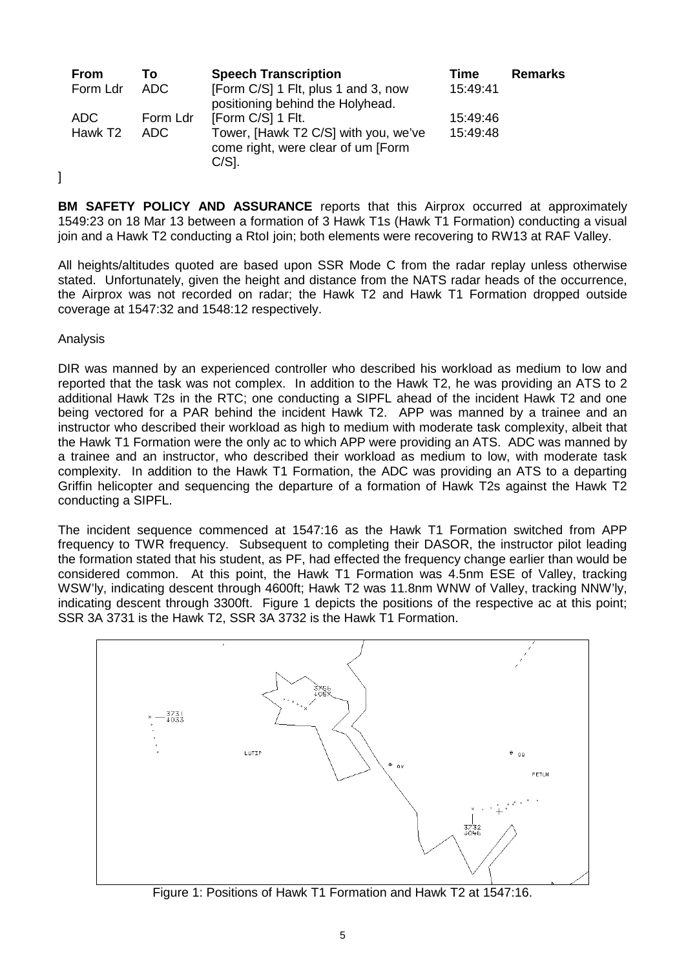| <b>From</b>         | Т٥       | <b>Speech Transcription</b>                                                             | Time     | <b>Remarks</b> |
|---------------------|----------|-----------------------------------------------------------------------------------------|----------|----------------|
| Form Ldr            | ADC.     | [Form C/S] 1 Flt, plus 1 and 3, now<br>positioning behind the Holyhead.                 | 15:49:41 |                |
| ADC.                | Form Ldr | [Form C/S] 1 Flt.                                                                       | 15:49:46 |                |
| Hawk T <sub>2</sub> | ADC.     | Tower, [Hawk T2 C/S] with you, we've<br>come right, were clear of um [Form]<br>$C/S$ ]. | 15:49:48 |                |

**BM SAFETY POLICY AND ASSURANCE** reports that this Airprox occurred at approximately 1549:23 on 18 Mar 13 between a formation of 3 Hawk T1s (Hawk T1 Formation) conducting a visual join and a Hawk T2 conducting a RtoI join; both elements were recovering to RW13 at RAF Valley.

All heights/altitudes quoted are based upon SSR Mode C from the radar replay unless otherwise stated. Unfortunately, given the height and distance from the NATS radar heads of the occurrence, the Airprox was not recorded on radar; the Hawk T2 and Hawk T1 Formation dropped outside coverage at 1547:32 and 1548:12 respectively.

Analysis

]

DIR was manned by an experienced controller who described his workload as medium to low and reported that the task was not complex. In addition to the Hawk T2, he was providing an ATS to 2 additional Hawk T2s in the RTC; one conducting a SIPFL ahead of the incident Hawk T2 and one being vectored for a PAR behind the incident Hawk T2. APP was manned by a trainee and an instructor who described their workload as high to medium with moderate task complexity, albeit that the Hawk T1 Formation were the only ac to which APP were providing an ATS. ADC was manned by a trainee and an instructor, who described their workload as medium to low, with moderate task complexity. In addition to the Hawk T1 Formation, the ADC was providing an ATS to a departing Griffin helicopter and sequencing the departure of a formation of Hawk T2s against the Hawk T2 conducting a SIPFL.

The incident sequence commenced at 1547:16 as the Hawk T1 Formation switched from APP frequency to TWR frequency. Subsequent to completing their DASOR, the instructor pilot leading the formation stated that his student, as PF, had effected the frequency change earlier than would be considered common. At this point, the Hawk T1 Formation was 4.5nm ESE of Valley, tracking WSW'ly, indicating descent through 4600ft; Hawk T2 was 11.8nm WNW of Valley, tracking NNW'ly, indicating descent through 3300ft. Figure 1 depicts the positions of the respective ac at this point; SSR 3A 3731 is the Hawk T2, SSR 3A 3732 is the Hawk T1 Formation.



Figure 1: Positions of Hawk T1 Formation and Hawk T2 at 1547:16.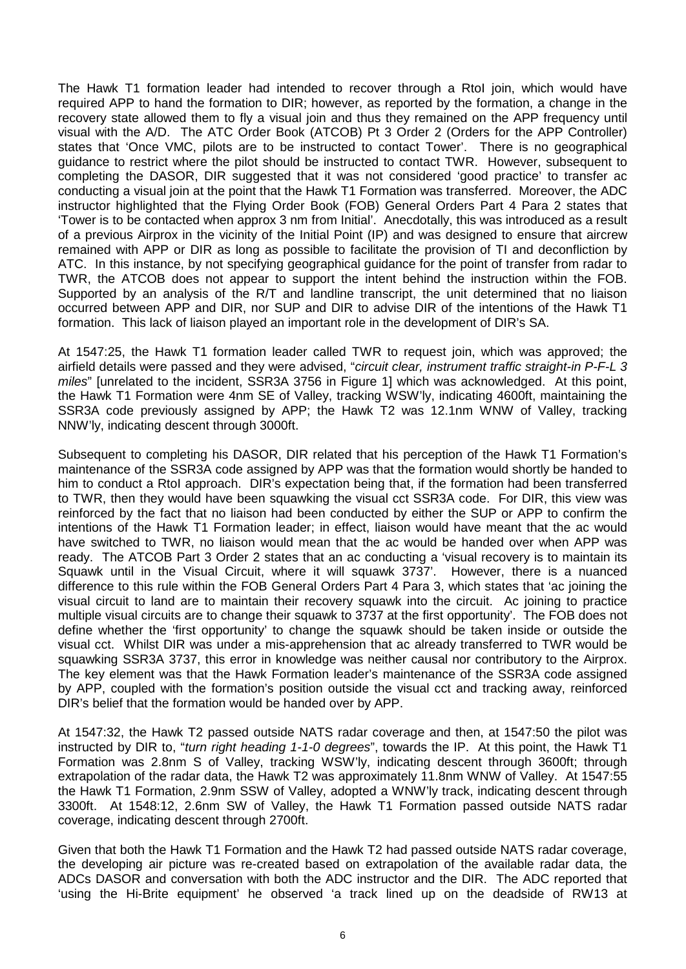The Hawk T1 formation leader had intended to recover through a RtoI join, which would have required APP to hand the formation to DIR; however, as reported by the formation, a change in the recovery state allowed them to fly a visual join and thus they remained on the APP frequency until visual with the A/D. The ATC Order Book (ATCOB) Pt 3 Order 2 (Orders for the APP Controller) states that 'Once VMC, pilots are to be instructed to contact Tower'. There is no geographical guidance to restrict where the pilot should be instructed to contact TWR. However, subsequent to completing the DASOR, DIR suggested that it was not considered 'good practice' to transfer ac conducting a visual join at the point that the Hawk T1 Formation was transferred. Moreover, the ADC instructor highlighted that the Flying Order Book (FOB) General Orders Part 4 Para 2 states that 'Tower is to be contacted when approx 3 nm from Initial'. Anecdotally, this was introduced as a result of a previous Airprox in the vicinity of the Initial Point (IP) and was designed to ensure that aircrew remained with APP or DIR as long as possible to facilitate the provision of TI and deconfliction by ATC. In this instance, by not specifying geographical guidance for the point of transfer from radar to TWR, the ATCOB does not appear to support the intent behind the instruction within the FOB. Supported by an analysis of the R/T and landline transcript, the unit determined that no liaison occurred between APP and DIR, nor SUP and DIR to advise DIR of the intentions of the Hawk T1 formation. This lack of liaison played an important role in the development of DIR's SA.

At 1547:25, the Hawk T1 formation leader called TWR to request join, which was approved; the airfield details were passed and they were advised, "*circuit clear, instrument traffic straight-in P-F-L 3 miles*" [unrelated to the incident, SSR3A 3756 in Figure 1] which was acknowledged. At this point, the Hawk T1 Formation were 4nm SE of Valley, tracking WSW'ly, indicating 4600ft, maintaining the SSR3A code previously assigned by APP; the Hawk T2 was 12.1nm WNW of Valley, tracking NNW'ly, indicating descent through 3000ft.

Subsequent to completing his DASOR, DIR related that his perception of the Hawk T1 Formation's maintenance of the SSR3A code assigned by APP was that the formation would shortly be handed to him to conduct a RtoI approach. DIR's expectation being that, if the formation had been transferred to TWR, then they would have been squawking the visual cct SSR3A code. For DIR, this view was reinforced by the fact that no liaison had been conducted by either the SUP or APP to confirm the intentions of the Hawk T1 Formation leader; in effect, liaison would have meant that the ac would have switched to TWR, no liaison would mean that the ac would be handed over when APP was ready. The ATCOB Part 3 Order 2 states that an ac conducting a 'visual recovery is to maintain its Squawk until in the Visual Circuit, where it will squawk 3737'. However, there is a nuanced difference to this rule within the FOB General Orders Part 4 Para 3, which states that 'ac joining the visual circuit to land are to maintain their recovery squawk into the circuit. Ac joining to practice multiple visual circuits are to change their squawk to 3737 at the first opportunity'. The FOB does not define whether the 'first opportunity' to change the squawk should be taken inside or outside the visual cct. Whilst DIR was under a mis-apprehension that ac already transferred to TWR would be squawking SSR3A 3737, this error in knowledge was neither causal nor contributory to the Airprox. The key element was that the Hawk Formation leader's maintenance of the SSR3A code assigned by APP, coupled with the formation's position outside the visual cct and tracking away, reinforced DIR's belief that the formation would be handed over by APP.

At 1547:32, the Hawk T2 passed outside NATS radar coverage and then, at 1547:50 the pilot was instructed by DIR to, "*turn right heading 1-1-0 degrees*", towards the IP. At this point, the Hawk T1 Formation was 2.8nm S of Valley, tracking WSW'ly, indicating descent through 3600ft; through extrapolation of the radar data, the Hawk T2 was approximately 11.8nm WNW of Valley. At 1547:55 the Hawk T1 Formation, 2.9nm SSW of Valley, adopted a WNW'ly track, indicating descent through 3300ft. At 1548:12, 2.6nm SW of Valley, the Hawk T1 Formation passed outside NATS radar coverage, indicating descent through 2700ft.

Given that both the Hawk T1 Formation and the Hawk T2 had passed outside NATS radar coverage, the developing air picture was re-created based on extrapolation of the available radar data, the ADCs DASOR and conversation with both the ADC instructor and the DIR. The ADC reported that 'using the Hi-Brite equipment' he observed 'a track lined up on the deadside of RW13 at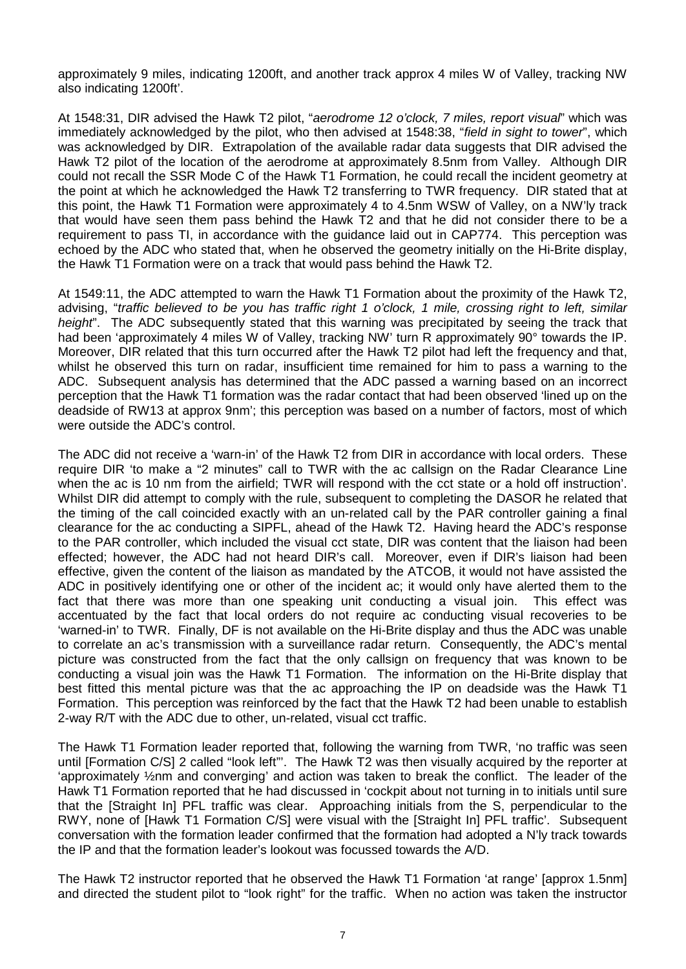approximately 9 miles, indicating 1200ft, and another track approx 4 miles W of Valley, tracking NW also indicating 1200ft'.

At 1548:31, DIR advised the Hawk T2 pilot, "*aerodrome 12 o'clock, 7 miles, report visual*" which was immediately acknowledged by the pilot, who then advised at 1548:38, "*field in sight to tower*", which was acknowledged by DIR. Extrapolation of the available radar data suggests that DIR advised the Hawk T2 pilot of the location of the aerodrome at approximately 8.5nm from Valley. Although DIR could not recall the SSR Mode C of the Hawk T1 Formation, he could recall the incident geometry at the point at which he acknowledged the Hawk T2 transferring to TWR frequency. DIR stated that at this point, the Hawk T1 Formation were approximately 4 to 4.5nm WSW of Valley, on a NW'ly track that would have seen them pass behind the Hawk T2 and that he did not consider there to be a requirement to pass TI, in accordance with the guidance laid out in CAP774. This perception was echoed by the ADC who stated that, when he observed the geometry initially on the Hi-Brite display, the Hawk T1 Formation were on a track that would pass behind the Hawk T2.

At 1549:11, the ADC attempted to warn the Hawk T1 Formation about the proximity of the Hawk T2, advising, "*traffic believed to be you has traffic right 1 o'clock, 1 mile, crossing right to left, similar height*". The ADC subsequently stated that this warning was precipitated by seeing the track that had been 'approximately 4 miles W of Valley, tracking NW' turn R approximately 90° towards the IP. Moreover, DIR related that this turn occurred after the Hawk T2 pilot had left the frequency and that, whilst he observed this turn on radar, insufficient time remained for him to pass a warning to the ADC. Subsequent analysis has determined that the ADC passed a warning based on an incorrect perception that the Hawk T1 formation was the radar contact that had been observed 'lined up on the deadside of RW13 at approx 9nm'; this perception was based on a number of factors, most of which were outside the ADC's control.

The ADC did not receive a 'warn-in' of the Hawk T2 from DIR in accordance with local orders. These require DIR 'to make a "2 minutes" call to TWR with the ac callsign on the Radar Clearance Line when the ac is 10 nm from the airfield; TWR will respond with the cct state or a hold off instruction'. Whilst DIR did attempt to comply with the rule, subsequent to completing the DASOR he related that the timing of the call coincided exactly with an un-related call by the PAR controller gaining a final clearance for the ac conducting a SIPFL, ahead of the Hawk T2. Having heard the ADC's response to the PAR controller, which included the visual cct state, DIR was content that the liaison had been effected; however, the ADC had not heard DIR's call. Moreover, even if DIR's liaison had been effective, given the content of the liaison as mandated by the ATCOB, it would not have assisted the ADC in positively identifying one or other of the incident ac; it would only have alerted them to the fact that there was more than one speaking unit conducting a visual join. This effect was accentuated by the fact that local orders do not require ac conducting visual recoveries to be 'warned-in' to TWR. Finally, DF is not available on the Hi-Brite display and thus the ADC was unable to correlate an ac's transmission with a surveillance radar return. Consequently, the ADC's mental picture was constructed from the fact that the only callsign on frequency that was known to be conducting a visual join was the Hawk T1 Formation. The information on the Hi-Brite display that best fitted this mental picture was that the ac approaching the IP on deadside was the Hawk T1 Formation. This perception was reinforced by the fact that the Hawk T2 had been unable to establish 2-way R/T with the ADC due to other, un-related, visual cct traffic.

The Hawk T1 Formation leader reported that, following the warning from TWR, 'no traffic was seen until [Formation C/S] 2 called "look left"'. The Hawk T2 was then visually acquired by the reporter at 'approximately ½nm and converging' and action was taken to break the conflict. The leader of the Hawk T1 Formation reported that he had discussed in 'cockpit about not turning in to initials until sure that the [Straight In] PFL traffic was clear. Approaching initials from the S, perpendicular to the RWY, none of [Hawk T1 Formation C/S] were visual with the [Straight In] PFL traffic'. Subsequent conversation with the formation leader confirmed that the formation had adopted a N'ly track towards the IP and that the formation leader's lookout was focussed towards the A/D.

The Hawk T2 instructor reported that he observed the Hawk T1 Formation 'at range' [approx 1.5nm] and directed the student pilot to "look right" for the traffic. When no action was taken the instructor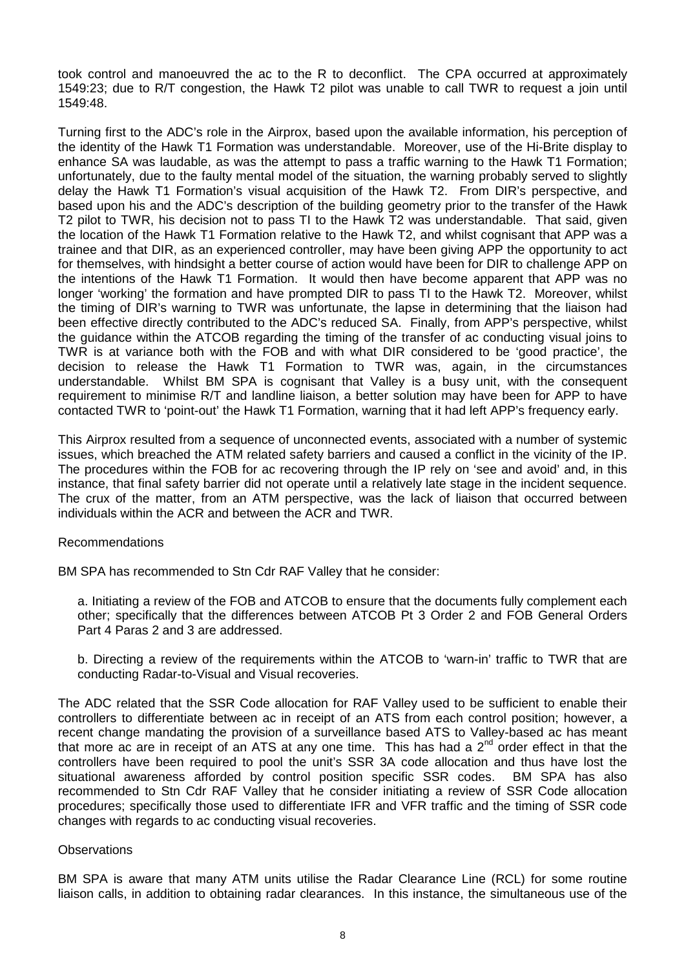took control and manoeuvred the ac to the R to deconflict. The CPA occurred at approximately 1549:23; due to R/T congestion, the Hawk T2 pilot was unable to call TWR to request a join until 1549:48.

Turning first to the ADC's role in the Airprox, based upon the available information, his perception of the identity of the Hawk T1 Formation was understandable. Moreover, use of the Hi-Brite display to enhance SA was laudable, as was the attempt to pass a traffic warning to the Hawk T1 Formation; unfortunately, due to the faulty mental model of the situation, the warning probably served to slightly delay the Hawk T1 Formation's visual acquisition of the Hawk T2. From DIR's perspective, and based upon his and the ADC's description of the building geometry prior to the transfer of the Hawk T2 pilot to TWR, his decision not to pass TI to the Hawk T2 was understandable. That said, given the location of the Hawk T1 Formation relative to the Hawk T2, and whilst cognisant that APP was a trainee and that DIR, as an experienced controller, may have been giving APP the opportunity to act for themselves, with hindsight a better course of action would have been for DIR to challenge APP on the intentions of the Hawk T1 Formation. It would then have become apparent that APP was no longer 'working' the formation and have prompted DIR to pass TI to the Hawk T2. Moreover, whilst the timing of DIR's warning to TWR was unfortunate, the lapse in determining that the liaison had been effective directly contributed to the ADC's reduced SA. Finally, from APP's perspective, whilst the guidance within the ATCOB regarding the timing of the transfer of ac conducting visual joins to TWR is at variance both with the FOB and with what DIR considered to be 'good practice', the decision to release the Hawk T1 Formation to TWR was, again, in the circumstances understandable. Whilst BM SPA is cognisant that Valley is a busy unit, with the consequent requirement to minimise R/T and landline liaison, a better solution may have been for APP to have contacted TWR to 'point-out' the Hawk T1 Formation, warning that it had left APP's frequency early.

This Airprox resulted from a sequence of unconnected events, associated with a number of systemic issues, which breached the ATM related safety barriers and caused a conflict in the vicinity of the IP. The procedures within the FOB for ac recovering through the IP rely on 'see and avoid' and, in this instance, that final safety barrier did not operate until a relatively late stage in the incident sequence. The crux of the matter, from an ATM perspective, was the lack of liaison that occurred between individuals within the ACR and between the ACR and TWR.

### Recommendations

BM SPA has recommended to Stn Cdr RAF Valley that he consider:

a. Initiating a review of the FOB and ATCOB to ensure that the documents fully complement each other; specifically that the differences between ATCOB Pt 3 Order 2 and FOB General Orders Part 4 Paras 2 and 3 are addressed.

b. Directing a review of the requirements within the ATCOB to 'warn-in' traffic to TWR that are conducting Radar-to-Visual and Visual recoveries.

The ADC related that the SSR Code allocation for RAF Valley used to be sufficient to enable their controllers to differentiate between ac in receipt of an ATS from each control position; however, a recent change mandating the provision of a surveillance based ATS to Valley-based ac has meant that more ac are in receipt of an ATS at any one time. This has had a  $2^{nd}$  order effect in that the controllers have been required to pool the unit's SSR 3A code allocation and thus have lost the situational awareness afforded by control position specific SSR codes. BM SPA has also recommended to Stn Cdr RAF Valley that he consider initiating a review of SSR Code allocation procedures; specifically those used to differentiate IFR and VFR traffic and the timing of SSR code changes with regards to ac conducting visual recoveries.

#### **Observations**

BM SPA is aware that many ATM units utilise the Radar Clearance Line (RCL) for some routine liaison calls, in addition to obtaining radar clearances. In this instance, the simultaneous use of the